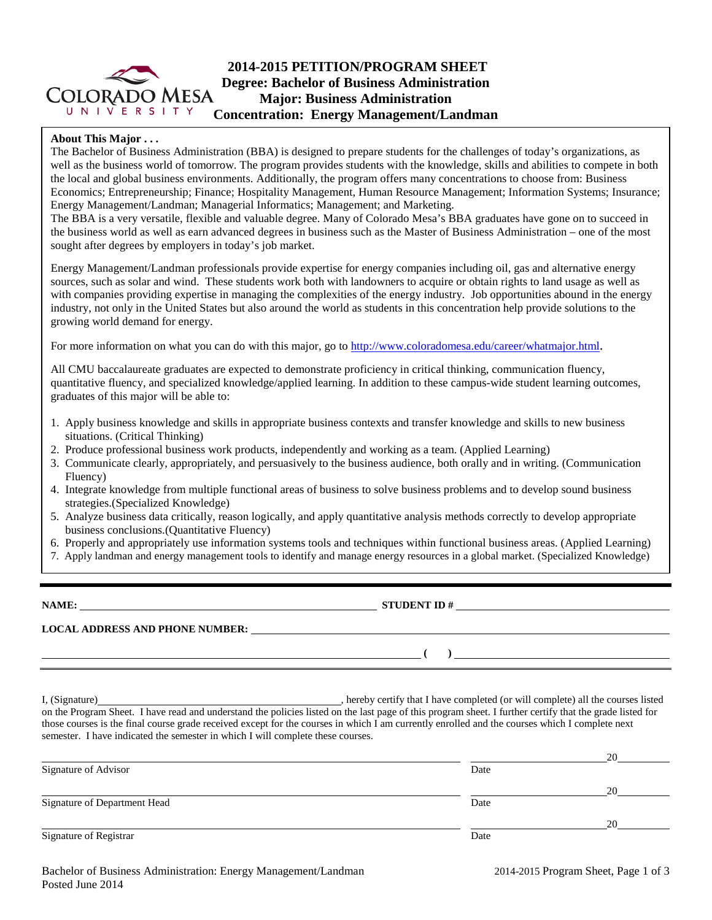

### **About This Major . . .**

The Bachelor of Business Administration (BBA) is designed to prepare students for the challenges of today's organizations, as well as the business world of tomorrow. The program provides students with the knowledge, skills and abilities to compete in both the local and global business environments. Additionally, the program offers many concentrations to choose from: Business Economics; Entrepreneurship; Finance; Hospitality Management, Human Resource Management; Information Systems; Insurance; Energy Management/Landman; Managerial Informatics; Management; and Marketing.

The BBA is a very versatile, flexible and valuable degree. Many of Colorado Mesa's BBA graduates have gone on to succeed in the business world as well as earn advanced degrees in business such as the Master of Business Administration – one of the most sought after degrees by employers in today's job market.

Energy Management/Landman professionals provide expertise for energy companies including oil, gas and alternative energy sources, such as solar and wind. These students work both with landowners to acquire or obtain rights to land usage as well as with companies providing expertise in managing the complexities of the energy industry. Job opportunities abound in the energy industry, not only in the United States but also around the world as students in this concentration help provide solutions to the growing world demand for energy.

For more information on what you can do with this major, go to [http://www.coloradomesa.edu/career/whatmajor.html.](http://www.coloradomesa.edu/career/whatmajor.html)

All CMU baccalaureate graduates are expected to demonstrate proficiency in critical thinking, communication fluency, quantitative fluency, and specialized knowledge/applied learning. In addition to these campus-wide student learning outcomes, graduates of this major will be able to:

- 1. Apply business knowledge and skills in appropriate business contexts and transfer knowledge and skills to new business situations. (Critical Thinking)
- 2. Produce professional business work products, independently and working as a team. (Applied Learning)
- 3. Communicate clearly, appropriately, and persuasively to the business audience, both orally and in writing. (Communication Fluency)
- 4. Integrate knowledge from multiple functional areas of business to solve business problems and to develop sound business strategies.(Specialized Knowledge)
- 5. Analyze business data critically, reason logically, and apply quantitative analysis methods correctly to develop appropriate business conclusions.(Quantitative Fluency)
- 6. Properly and appropriately use information systems tools and techniques within functional business areas. (Applied Learning)
- 7. Apply landman and energy management tools to identify and manage energy resources in a global market. (Specialized Knowledge)

**NAME: STUDENT ID #**

**LOCAL ADDRESS AND PHONE NUMBER:**

**( )** 

I, (Signature) **Solution** , hereby certify that I have completed (or will complete) all the courses listed on the Program Sheet. I have read and understand the policies listed on the last page of this program sheet. I further certify that the grade listed for those courses is the final course grade received except for the courses in which I am currently enrolled and the courses which I complete next semester. I have indicated the semester in which I will complete these courses.

|                              |      | 20 |
|------------------------------|------|----|
| Signature of Advisor         | Date |    |
|                              |      | 20 |
| Signature of Department Head | Date |    |
|                              |      | 20 |
| Signature of Registrar       | Date |    |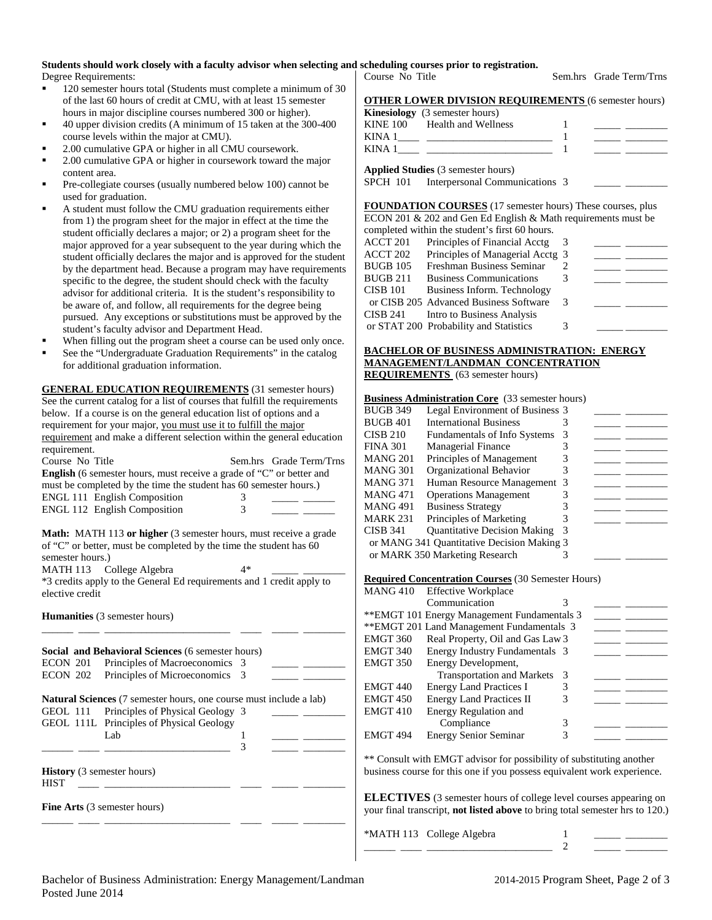# **Students should work closely with a faculty advisor when selecting and scheduling courses prior to registration.**

Degree Requirements:

- 120 semester hours total (Students must complete a minimum of 30 of the last 60 hours of credit at CMU, with at least 15 semester hours in major discipline courses numbered 300 or higher).
- 40 upper division credits (A minimum of 15 taken at the 300-400 course levels within the major at CMU).
- 2.00 cumulative GPA or higher in all CMU coursework.
- 2.00 cumulative GPA or higher in coursework toward the major content area.
- Pre-collegiate courses (usually numbered below 100) cannot be used for graduation.
- A student must follow the CMU graduation requirements either from 1) the program sheet for the major in effect at the time the student officially declares a major; or 2) a program sheet for the major approved for a year subsequent to the year during which the student officially declares the major and is approved for the student by the department head. Because a program may have requirements specific to the degree, the student should check with the faculty advisor for additional criteria. It is the student's responsibility to be aware of, and follow, all requirements for the degree being pursued. Any exceptions or substitutions must be approved by the student's faculty advisor and Department Head.
- When filling out the program sheet a course can be used only once.
- See the "Undergraduate Graduation Requirements" in the catalog for additional graduation information.

**GENERAL EDUCATION REQUIREMENTS** (31 semester hours) See the current catalog for a list of courses that fulfill the requirements below. If a course is on the general education list of options and a requirement for your major, you must use it to fulfill the major requirement and make a different selection within the general education requirement.

| Course No Title                                                             |   | Sem.hrs Grade Term/Trns |
|-----------------------------------------------------------------------------|---|-------------------------|
| <b>English</b> (6 semester hours, must receive a grade of "C" or better and |   |                         |
| must be completed by the time the student has 60 semester hours.)           |   |                         |
| <b>ENGL 111 English Composition</b>                                         | 3 |                         |
| <b>ENGL 112 English Composition</b>                                         | 3 |                         |
|                                                                             |   |                         |

**Math:** MATH 113 or higher (3 semester hours, must receive a grade of "C" or better, must be completed by the time the student has 60 semester hours.)

MATH 113 College Algebra 4\* \*3 credits apply to the General Ed requirements and 1 credit apply to elective credit

\_\_\_\_\_\_ \_\_\_\_ \_\_\_\_\_\_\_\_\_\_\_\_\_\_\_\_\_\_\_\_\_\_\_\_ \_\_\_\_ \_\_\_\_\_ \_\_\_\_\_\_\_\_

**Humanities** (3 semester hours)

| <b>Social and Behavioral Sciences</b> (6 semester hours) |                                                                           |   |  |  |  |  |  |
|----------------------------------------------------------|---------------------------------------------------------------------------|---|--|--|--|--|--|
|                                                          | ECON 201 Principles of Macroeconomics 3                                   |   |  |  |  |  |  |
|                                                          | ECON 202 Principles of Microeconomics 3                                   |   |  |  |  |  |  |
|                                                          | <b>Natural Sciences</b> (7 semester hours, one course must include a lab) |   |  |  |  |  |  |
|                                                          | GEOL 111 Principles of Physical Geology 3                                 |   |  |  |  |  |  |
|                                                          | GEOL 111L Principles of Physical Geology                                  |   |  |  |  |  |  |
|                                                          | Lab                                                                       |   |  |  |  |  |  |
|                                                          |                                                                           | 3 |  |  |  |  |  |
| <b>History</b> (3 semester hours)<br><b>HIST</b>         |                                                                           |   |  |  |  |  |  |
|                                                          | Fine Arts (3 semester hours)                                              |   |  |  |  |  |  |

**OTHER LOWER DIVISION REQUIREMENTS** (6 semester hours) **Kinesiology** (3 semester hours)

|          | $\mathbf{r}$        |  |  |
|----------|---------------------|--|--|
| KINE 100 | Health and Wellness |  |  |
| KINA 1   |                     |  |  |
| KINA -   |                     |  |  |
|          |                     |  |  |

**Applied Studies** (3 semester hours)

SPCH 101 Interpersonal Communications 3

**FOUNDATION COURSES** (17 semester hours) These courses, plus ECON 201 & 202 and Gen Ed English & Math requirements must be completed within the student's first 60 hours.

|                 | completed within the student's first ob hours. |   |  |
|-----------------|------------------------------------------------|---|--|
| ACCT 201        | Principles of Financial Acctg                  | 3 |  |
| ACCT 202        | Principles of Managerial Acctg 3               |   |  |
| <b>BUGB 105</b> | Freshman Business Seminar                      |   |  |
| <b>BUGB 211</b> | <b>Business Communications</b>                 | 3 |  |
| <b>CISB 101</b> | Business Inform. Technology                    |   |  |
|                 | or CISB 205 Advanced Business Software         | 3 |  |
| CISB 241        | Intro to Business Analysis                     |   |  |
|                 | or STAT 200 Probability and Statistics         | 3 |  |
|                 |                                                |   |  |

#### **BACHELOR OF BUSINESS ADMINISTRATION: ENERGY MANAGEMENT/LANDMAN CONCENTRATION REQUIREMENTS** (63 semester hours)

### **Business Administration Core** (33 semester hours)

| <b>BUGB 349</b> | Legal Environment of Business 3            |    |  |
|-----------------|--------------------------------------------|----|--|
| BUGB 401        | <b>International Business</b>              |    |  |
| CISB 210        | <b>Fundamentals of Info Systems</b>        | 3  |  |
| FINA 301        | <b>Managerial Finance</b>                  |    |  |
| MANG 201        | Principles of Management                   | 3  |  |
| MANG 301        | Organizational Behavior                    | 3  |  |
| MANG 371        | Human Resource Management                  | -3 |  |
| MANG 471        | <b>Operations Management</b>               |    |  |
| MANG 491        | <b>Business Strategy</b>                   |    |  |
| MARK 231        | Principles of Marketing                    |    |  |
| CISB 341        | <b>Quantitative Decision Making</b>        | 3  |  |
|                 | or MANG 341 Quantitative Decision Making 3 |    |  |
|                 | or MARK 350 Marketing Research             |    |  |
|                 |                                            |    |  |

#### **Required Concentration Courses** (30 Semester Hours)

|                 | <b>Required Concentration Courses</b> (50 Semester Hours) |   |  |
|-----------------|-----------------------------------------------------------|---|--|
|                 | MANG 410 Effective Workplace                              |   |  |
|                 | Communication                                             | 3 |  |
|                 | ** EMGT 101 Energy Management Fundamentals 3              |   |  |
|                 | ** EMGT 201 Land Management Fundamentals 3                |   |  |
| EMGT 360        | Real Property, Oil and Gas Law 3                          |   |  |
| EMGT 340        | Energy Industry Fundamentals 3                            |   |  |
| EMGT 350        | Energy Development,                                       |   |  |
|                 | <b>Transportation and Markets</b>                         | 3 |  |
| <b>EMGT 440</b> | <b>Energy Land Practices I</b>                            | 3 |  |
| <b>EMGT 450</b> | <b>Energy Land Practices II</b>                           | 3 |  |
| EMGT 410        | <b>Energy Regulation and</b>                              |   |  |
|                 | Compliance                                                | 3 |  |
| EMGT 494        | <b>Energy Senior Seminar</b>                              | 3 |  |
|                 |                                                           |   |  |

\*\* Consult with EMGT advisor for possibility of substituting another business course for this one if you possess equivalent work experience.

**ELECTIVES** (3 semester hours of college level courses appearing on your final transcript, **not listed above** to bring total semester hrs to 120.)

| *MATH 113 College Algebra |  |  |
|---------------------------|--|--|
|---------------------------|--|--|

Course No Title Sem.hrs Grade Term/Trns